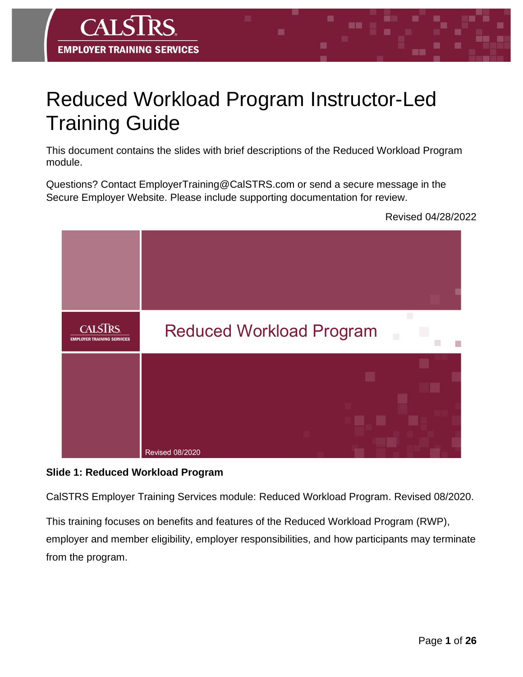# Reduced Workload Program Instructor-Led Training Guide

This document contains the slides with brief descriptions of the Reduced Workload Program module.

Questions? Contact EmployerTraining@CalSTRS.com or send a secure message in the Secure Employer Website. Please include supporting documentation for review.

Revised 04/28/2022



#### **Slide 1: Reduced Workload Program**

**CAT** 

**EMPLOYER TRAINING SERVICES** 

CalSTRS Employer Training Services module: Reduced Workload Program. Revised 08/2020.

This training focuses on benefits and features of the Reduced Workload Program (RWP), employer and member eligibility, employer responsibilities, and how participants may terminate from the program.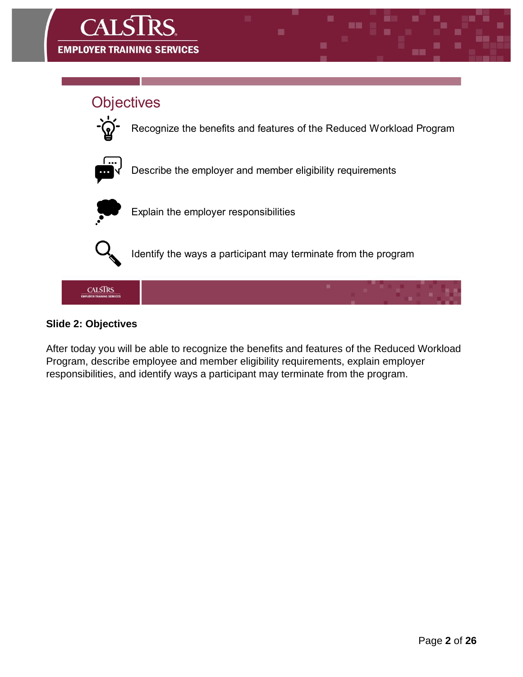

#### **Slide 2: Objectives**

After today you will be able to recognize the benefits and features of the Reduced Workload Program, describe employee and member eligibility requirements, explain employer responsibilities, and identify ways a participant may terminate from the program.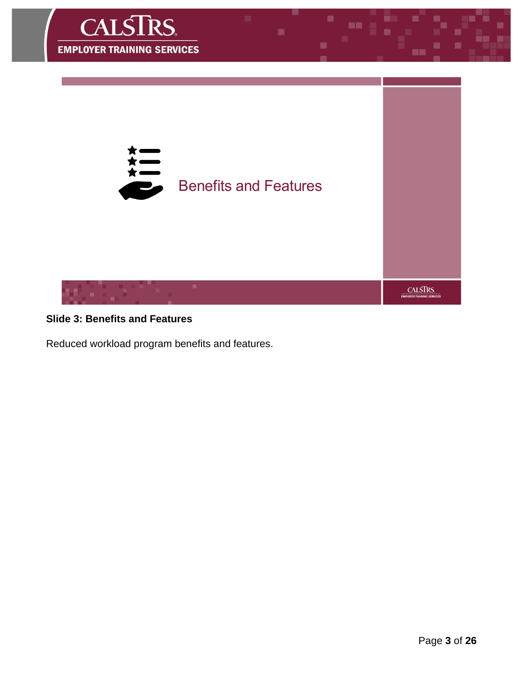

### **Slide 3: Benefits and Features**

Reduced workload program benefits and features.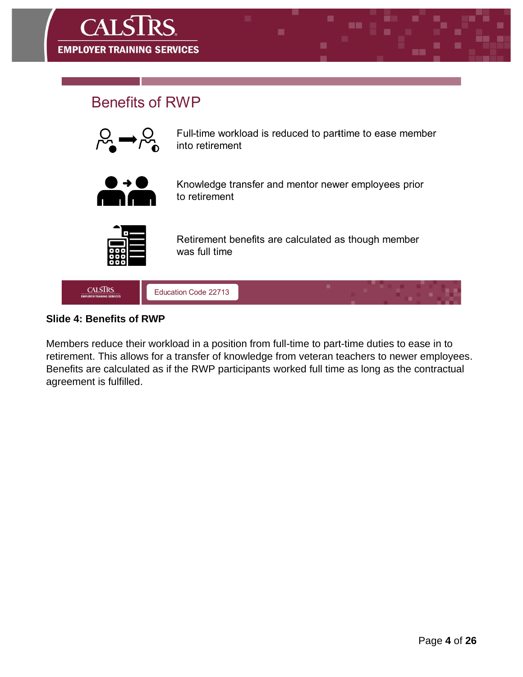

### **Benefits of RWP**



Full-time workload is reduced to parttime to ease member into retirement



Knowledge transfer and mentor newer employees prior to retirement



Retirement benefits are calculated as though member was full time



#### **Slide 4: Benefits of RWP**

Members reduce their workload in a position from full-time to part-time duties to ease in to retirement. This allows for a transfer of knowledge from veteran teachers to newer employees. Benefits are calculated as if the RWP participants worked full time as long as the contractual agreement is fulfilled.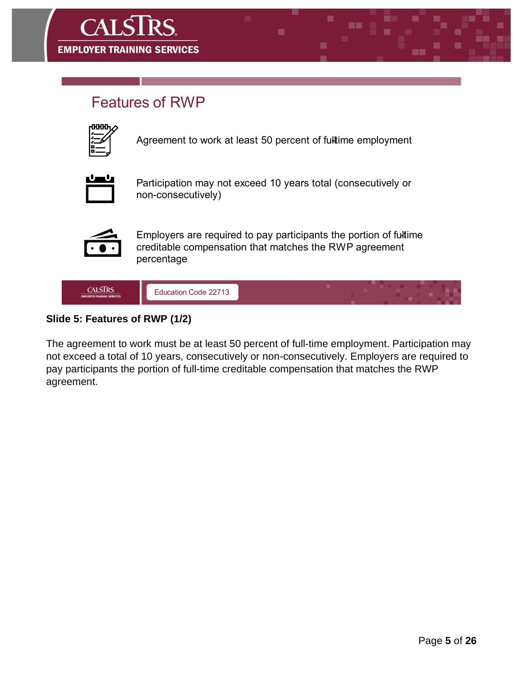

### **Features of RWP**

| ٠<br>н<br>ی<br>۱ |
|------------------|
|                  |
|                  |
|                  |

Agreement to work at least 50 percent of fulltime employment



Participation may not exceed 10 years total (consecutively or non-consecutively)



Employers are required to pay participants the portion of fultime creditable compensation that matches the RWP agreement percentage



### **Slide 5: Features of RWP (1/2)**

The agreement to work must be at least 50 percent of full-time employment. Participation may not exceed a total of 10 years, consecutively or non-consecutively. Employers are required to pay participants the portion of full-time creditable compensation that matches the RWP agreement.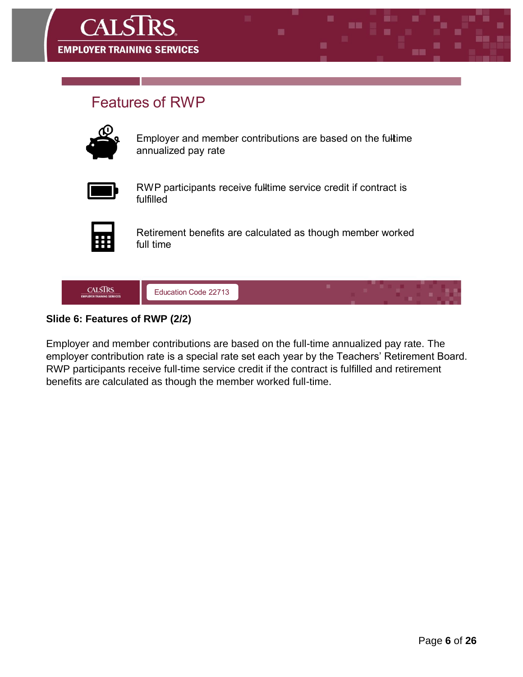

### **Features of RWP**



Employer and member contributions are based on the fulltime annualized pay rate



RWP participants receive fulltime service credit if contract is fulfilled



Retirement benefits are calculated as though member worked full time



### **Slide 6: Features of RWP (2/2)**

Employer and member contributions are based on the full-time annualized pay rate. The employer contribution rate is a special rate set each year by the Teachers' Retirement Board. RWP participants receive full-time service credit if the contract is fulfilled and retirement benefits are calculated as though the member worked full-time.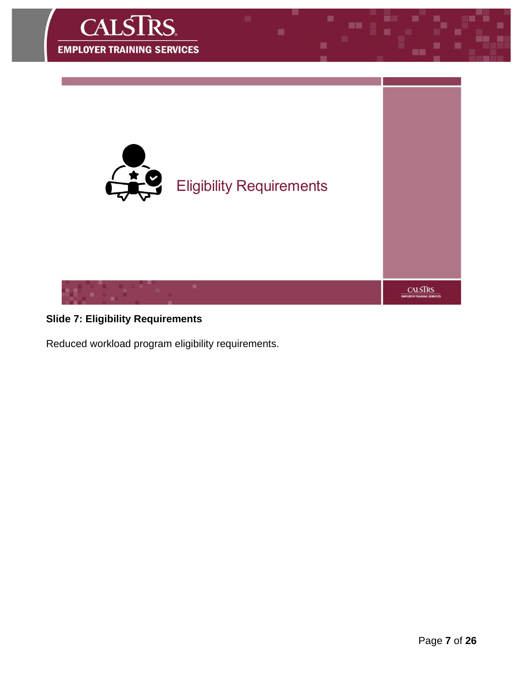

### **Slide 7: Eligibility Requirements**

Reduced workload program eligibility requirements.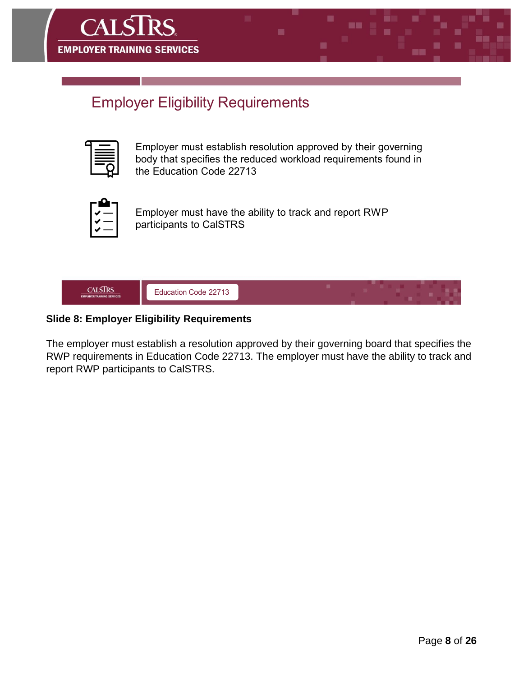

# **Employer Eligibility Requirements**

Employer must establish resolution approved by their governing body that specifies the reduced workload requirements found in the Education Code 22713



Employer must have the ability to track and report RWP participants to CalSTRS



### **Slide 8: Employer Eligibility Requirements**

The employer must establish a resolution approved by their governing board that specifies the RWP requirements in Education Code 22713. The employer must have the ability to track and report RWP participants to CalSTRS.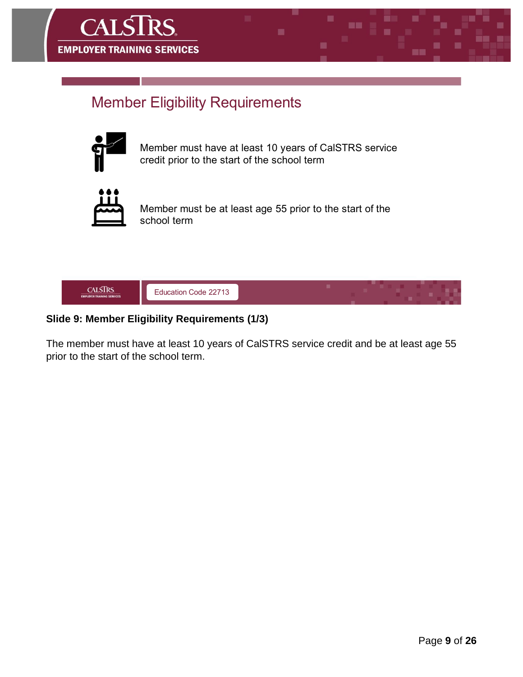

# **Member Eligibility Requirements**



Member must have at least 10 years of CalSTRS service credit prior to the start of the school term



Member must be at least age 55 prior to the start of the school term



### **Slide 9: Member Eligibility Requirements (1/3)**

The member must have at least 10 years of CalSTRS service credit and be at least age 55 prior to the start of the school term.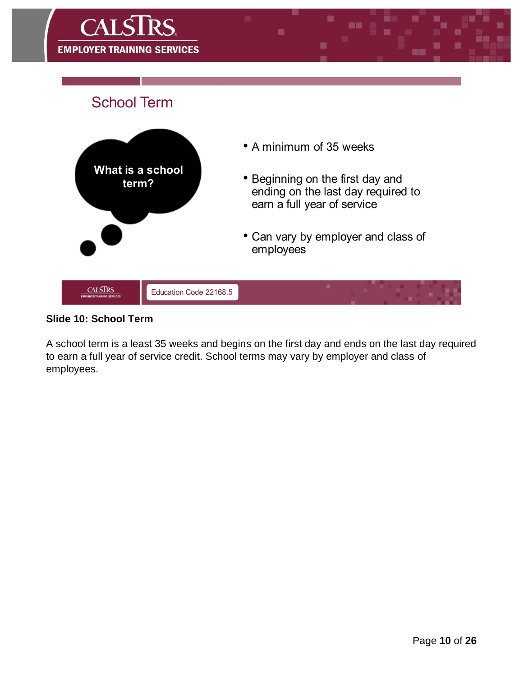

#### **Slide 10: School Term**

A school term is a least 35 weeks and begins on the first day and ends on the last day required to earn a full year of service credit. School terms may vary by employer and class of employees.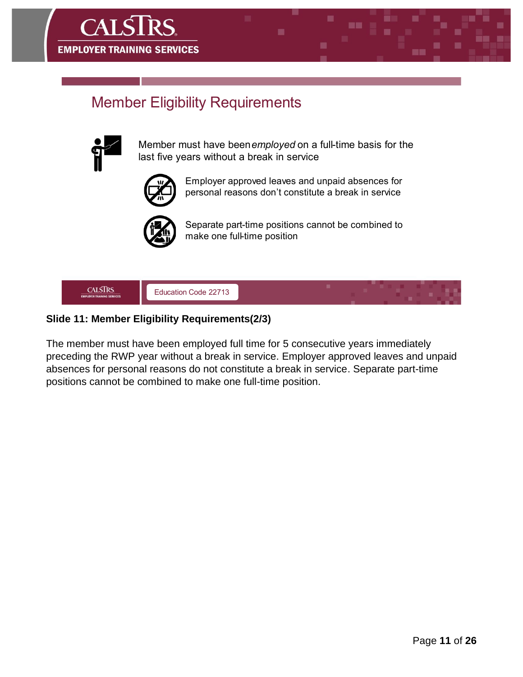

# **Member Eligibility Requirements**



Member must have been employed on a full-time basis for the last five years without a break in service



Employer approved leaves and unpaid absences for personal reasons don't constitute a break in service



Separate part-time positions cannot be combined to make one full-time position



### **Slide 11: Member Eligibility Requirements(2/3)**

The member must have been employed full time for 5 consecutive years immediately preceding the RWP year without a break in service. Employer approved leaves and unpaid absences for personal reasons do not constitute a break in service. Separate part-time positions cannot be combined to make one full-time position.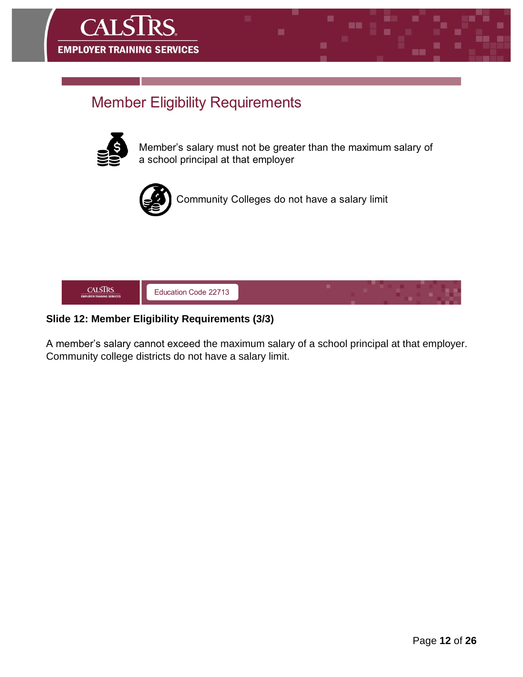

# **Member Eligibility Requirements**



Member's salary must not be greater than the maximum salary of a school principal at that employer



Community Colleges do not have a salary limit



### **Slide 12: Member Eligibility Requirements (3/3)**

A member's salary cannot exceed the maximum salary of a school principal at that employer. Community college districts do not have a salary limit.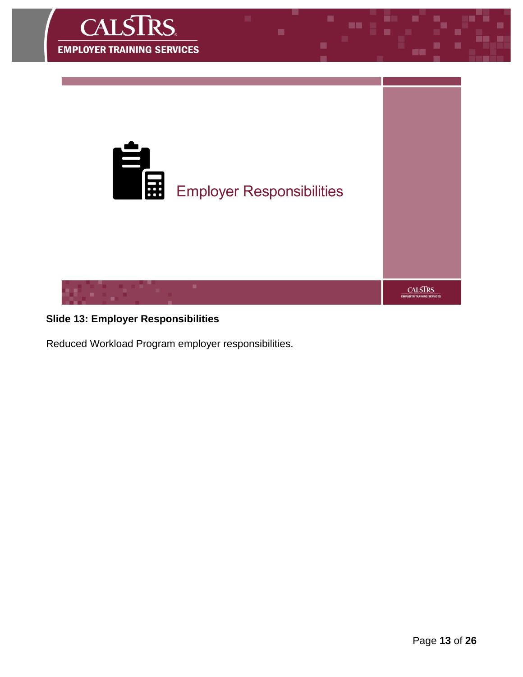

### **Slide 13: Employer Responsibilities**

Reduced Workload Program employer responsibilities.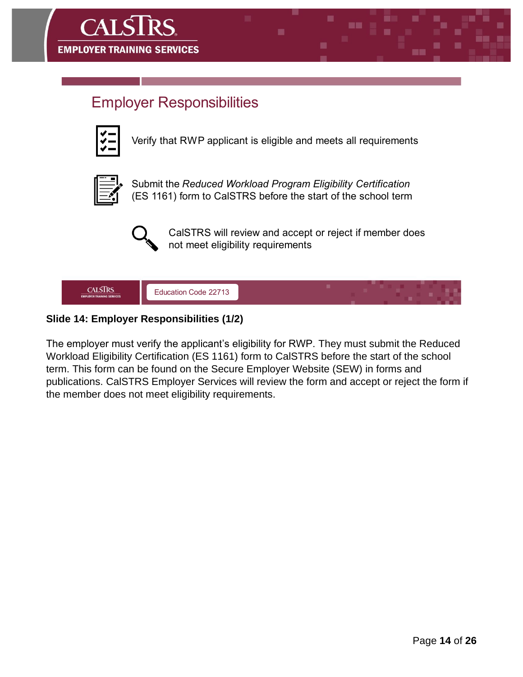

### **Employer Responsibilities**



Verify that RWP applicant is eligible and meets all requirements



Submit the Reduced Workload Program Eligibility Certification (ES 1161) form to CalSTRS before the start of the school term



CaISTRS will review and accept or reject if member does not meet eligibility requirements



### **Slide 14: Employer Responsibilities (1/2)**

The employer must verify the applicant's eligibility for RWP. They must submit the Reduced Workload Eligibility Certification (ES 1161) form to CalSTRS before the start of the school term. This form can be found on the Secure Employer Website (SEW) in forms and publications. CalSTRS Employer Services will review the form and accept or reject the form if the member does not meet eligibility requirements.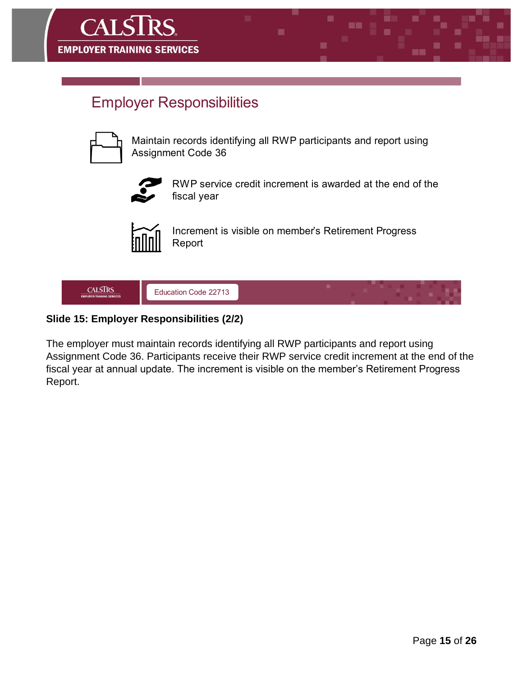

### **Employer Responsibilities**

Maintain records identifying all RWP participants and report using **Assignment Code 36** 



RWP service credit increment is awarded at the end of the fiscal year



Increment is visible on member's Retirement Progress Report



### **Slide 15: Employer Responsibilities (2/2)**

The employer must maintain records identifying all RWP participants and report using Assignment Code 36. Participants receive their RWP service credit increment at the end of the fiscal year at annual update. The increment is visible on the member's Retirement Progress Report.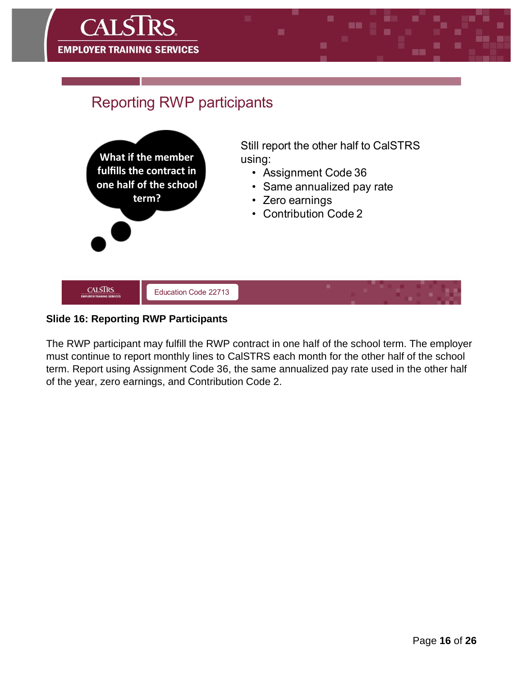

### **Slide 16: Reporting RWP Participants**

The RWP participant may fulfill the RWP contract in one half of the school term. The employer must continue to report monthly lines to CalSTRS each month for the other half of the school term. Report using Assignment Code 36, the same annualized pay rate used in the other half of the year, zero earnings, and Contribution Code 2.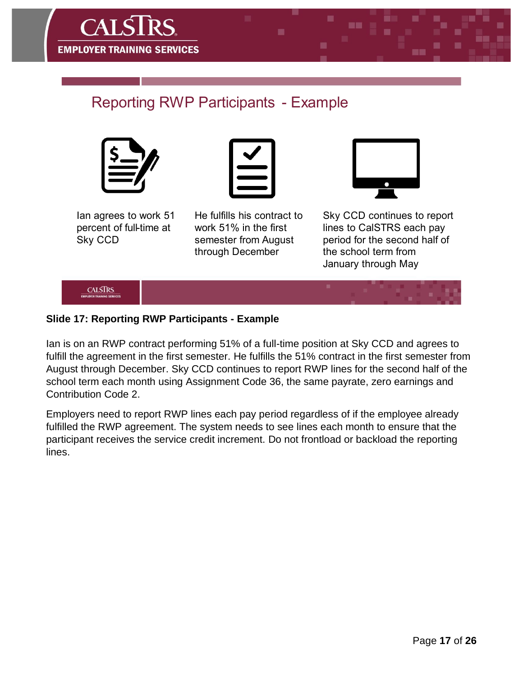

# **Reporting RWP Participants - Example**





lan agrees to work 51 percent of full-time at Sky CCD

He fulfills his contract to work 51% in the first semester from August through December



Sky CCD continues to report lines to CalSTRS each pay period for the second half of the school term from January through May

**CALSTRS** 

### **Slide 17: Reporting RWP Participants - Example**

Ian is on an RWP contract performing 51% of a full-time position at Sky CCD and agrees to fulfill the agreement in the first semester. He fulfills the 51% contract in the first semester from August through December. Sky CCD continues to report RWP lines for the second half of the school term each month using Assignment Code 36, the same payrate, zero earnings and Contribution Code 2.

Employers need to report RWP lines each pay period regardless of if the employee already fulfilled the RWP agreement. The system needs to see lines each month to ensure that the participant receives the service credit increment. Do not frontload or backload the reporting lines.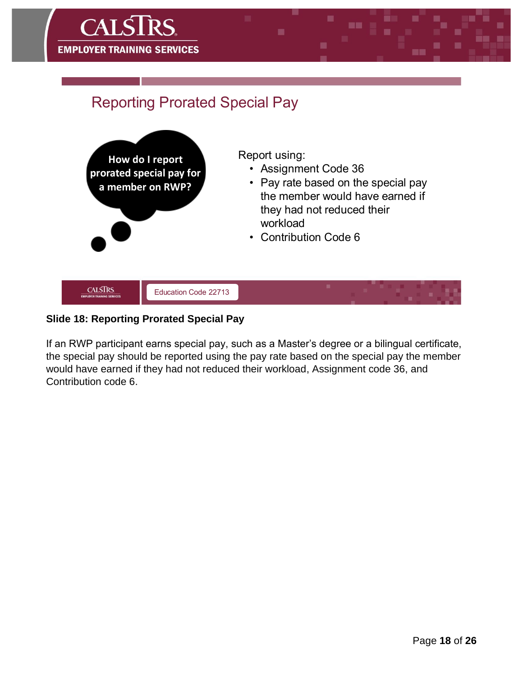

### **Slide 18: Reporting Prorated Special Pay**

If an RWP participant earns special pay, such as a Master's degree or a bilingual certificate, the special pay should be reported using the pay rate based on the special pay the member would have earned if they had not reduced their workload, Assignment code 36, and Contribution code 6.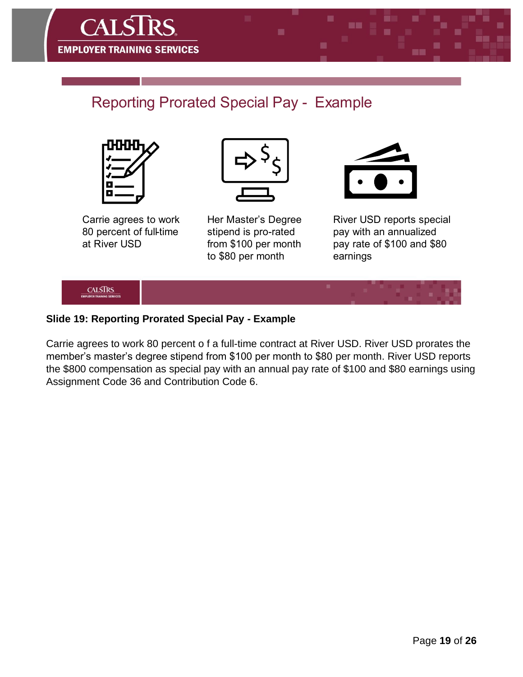

# **Reporting Prorated Special Pay - Example**





Carrie agrees to work 80 percent of full-time at River USD

Her Master's Degree stipend is pro-rated from \$100 per month to \$80 per month

River USD reports special pay with an annualized pay rate of \$100 and \$80 earnings



### **Slide 19: Reporting Prorated Special Pay - Example**

Carrie agrees to work 80 percent o f a full-time contract at River USD. River USD prorates the member's master's degree stipend from \$100 per month to \$80 per month. River USD reports the \$800 compensation as special pay with an annual pay rate of \$100 and \$80 earnings using Assignment Code 36 and Contribution Code 6.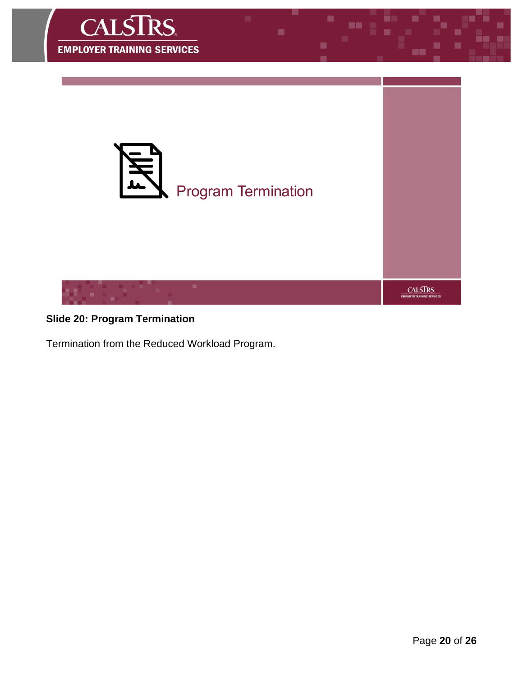

### **Slide 20: Program Termination**

Termination from the Reduced Workload Program.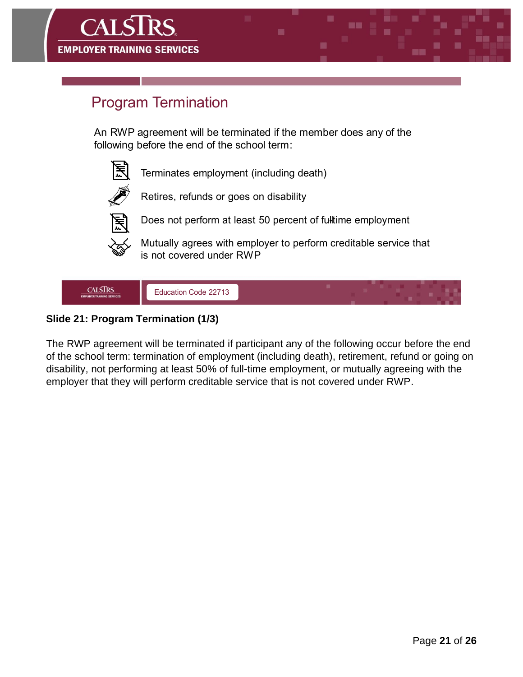

### **Slide 21: Program Termination (1/3)**

The RWP agreement will be terminated if participant any of the following occur before the end of the school term: termination of employment (including death), retirement, refund or going on disability, not performing at least 50% of full-time employment, or mutually agreeing with the employer that they will perform creditable service that is not covered under RWP.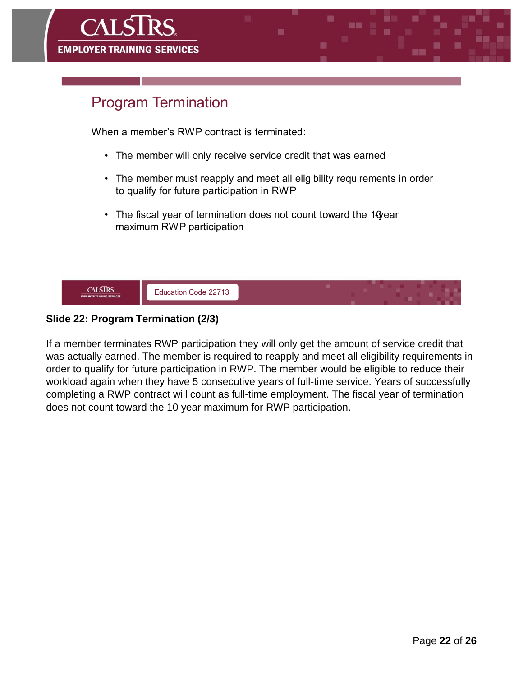

### **Slide 22: Program Termination (2/3)**

If a member terminates RWP participation they will only get the amount of service credit that was actually earned. The member is required to reapply and meet all eligibility requirements in order to qualify for future participation in RWP. The member would be eligible to reduce their workload again when they have 5 consecutive years of full-time service. Years of successfully completing a RWP contract will count as full-time employment. The fiscal year of termination does not count toward the 10 year maximum for RWP participation.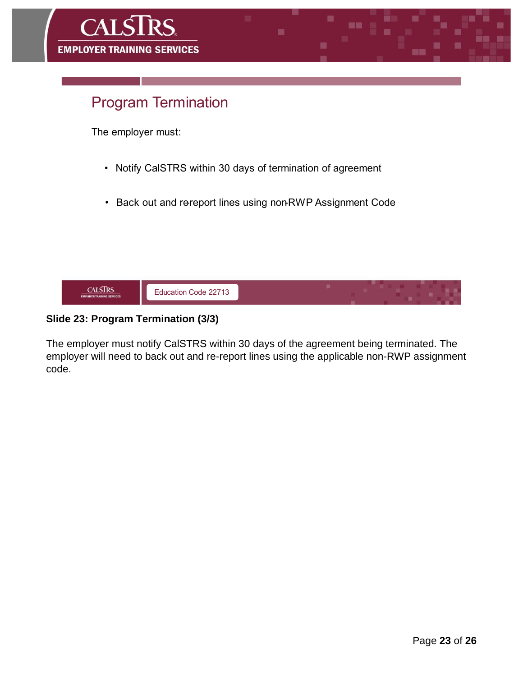

### **Slide 23: Program Termination (3/3)**

The employer must notify CalSTRS within 30 days of the agreement being terminated. The employer will need to back out and re-report lines using the applicable non-RWP assignment code.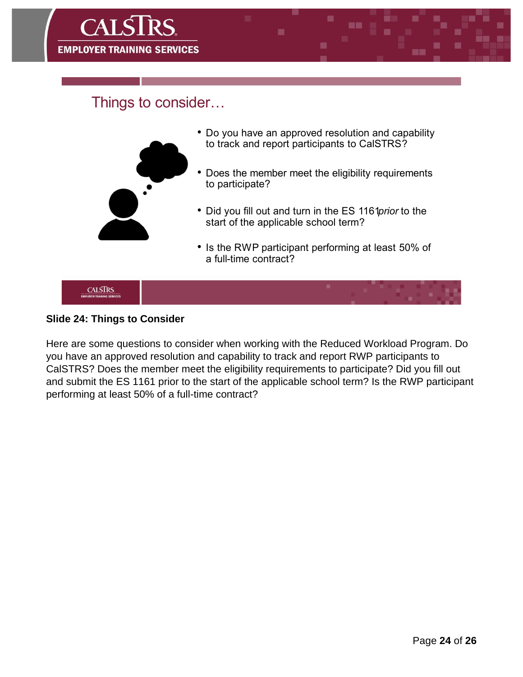

### Things to consider...



#### **Slide 24: Things to Consider**

Here are some questions to consider when working with the Reduced Workload Program. Do you have an approved resolution and capability to track and report RWP participants to CalSTRS? Does the member meet the eligibility requirements to participate? Did you fill out and submit the ES 1161 prior to the start of the applicable school term? Is the RWP participant performing at least 50% of a full-time contract?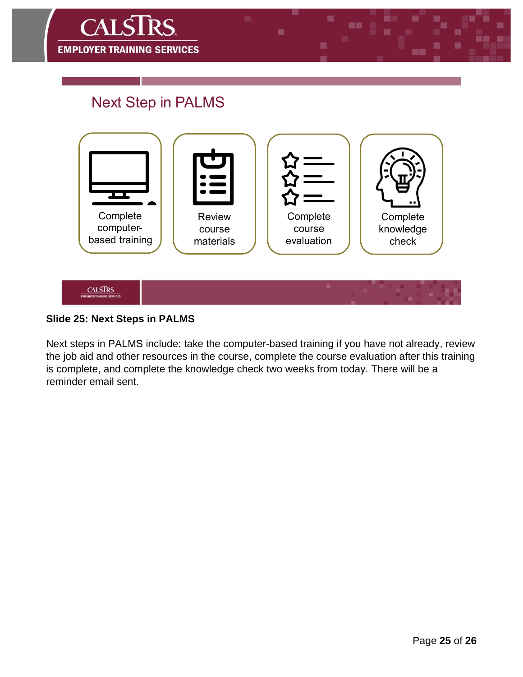![](_page_24_Picture_0.jpeg)

# **Next Step in PALMS**

![](_page_24_Figure_2.jpeg)

### **Slide 25: Next Steps in PALMS**

Next steps in PALMS include: take the computer-based training if you have not already, review the job aid and other resources in the course, complete the course evaluation after this training is complete, and complete the knowledge check two weeks from today. There will be a reminder email sent.